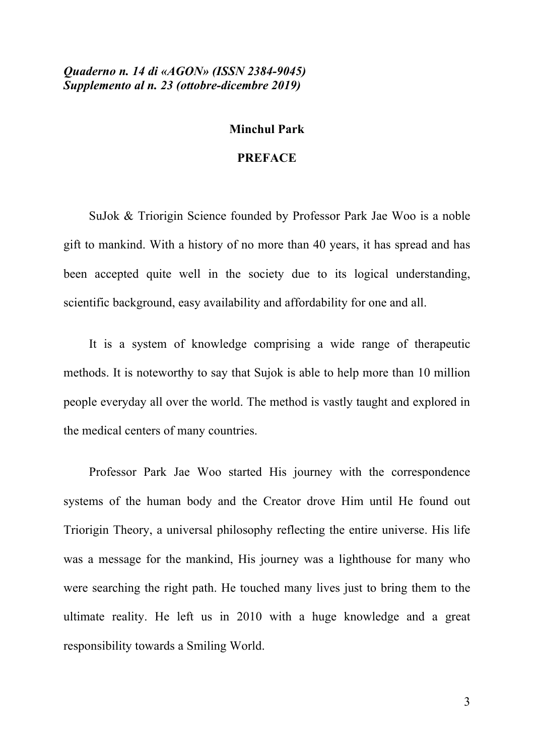*Quaderno n. 14 di «AGON» (ISSN 2384-9045) Supplemento al n. 23 (ottobre-dicembre 2019)*

## **Minchul Park**

## **PREFACE**

SuJok & Triorigin Science founded by Professor Park Jae Woo is a noble gift to mankind. With a history of no more than 40 years, it has spread and has been accepted quite well in the society due to its logical understanding, scientific background, easy availability and affordability for one and all.

It is a system of knowledge comprising a wide range of therapeutic methods. It is noteworthy to say that Sujok is able to help more than 10 million people everyday all over the world. The method is vastly taught and explored in the medical centers of many countries.

Professor Park Jae Woo started His journey with the correspondence systems of the human body and the Creator drove Him until He found out Triorigin Theory, a universal philosophy reflecting the entire universe. His life was a message for the mankind, His journey was a lighthouse for many who were searching the right path. He touched many lives just to bring them to the ultimate reality. He left us in 2010 with a huge knowledge and a great responsibility towards a Smiling World.